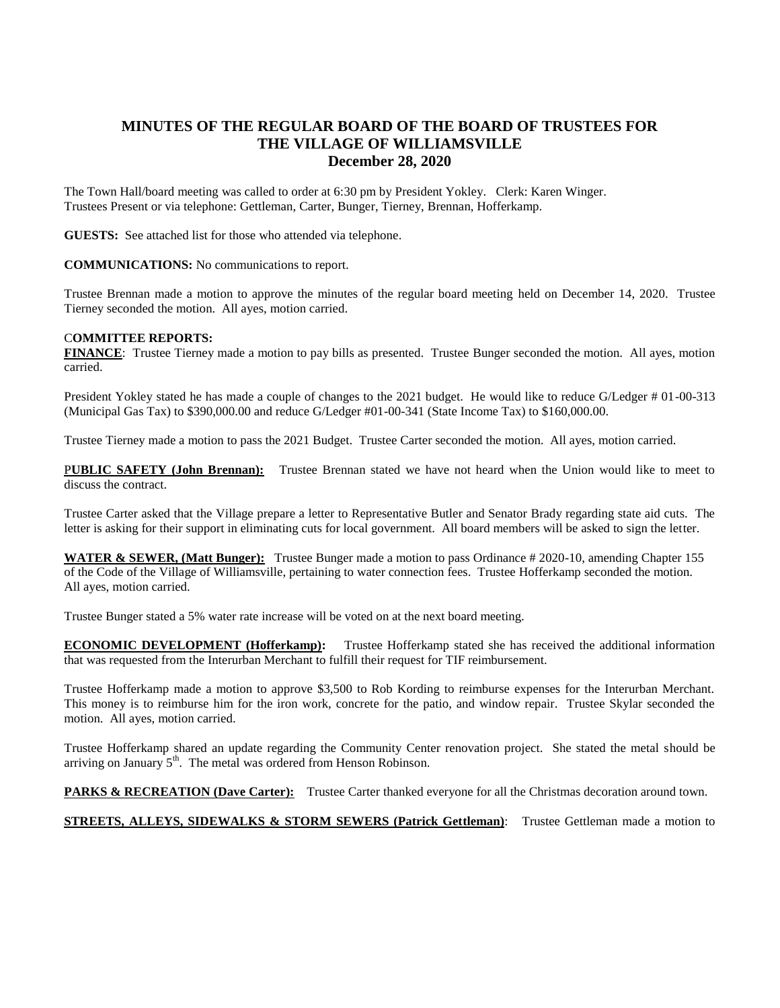## **MINUTES OF THE REGULAR BOARD OF THE BOARD OF TRUSTEES FOR THE VILLAGE OF WILLIAMSVILLE December 28, 2020**

The Town Hall/board meeting was called to order at 6:30 pm by President Yokley. Clerk: Karen Winger. Trustees Present or via telephone: Gettleman, Carter, Bunger, Tierney, Brennan, Hofferkamp.

**GUESTS:** See attached list for those who attended via telephone.

**COMMUNICATIONS:** No communications to report.

Trustee Brennan made a motion to approve the minutes of the regular board meeting held on December 14, 2020. Trustee Tierney seconded the motion. All ayes, motion carried.

## C**OMMITTEE REPORTS:**

**FINANCE**: Trustee Tierney made a motion to pay bills as presented. Trustee Bunger seconded the motion. All ayes, motion carried.

President Yokley stated he has made a couple of changes to the 2021 budget. He would like to reduce G/Ledger # 01-00-313 (Municipal Gas Tax) to \$390,000.00 and reduce G/Ledger #01-00-341 (State Income Tax) to \$160,000.00.

Trustee Tierney made a motion to pass the 2021 Budget. Trustee Carter seconded the motion. All ayes, motion carried.

P**UBLIC SAFETY (John Brennan):** Trustee Brennan stated we have not heard when the Union would like to meet to discuss the contract.

Trustee Carter asked that the Village prepare a letter to Representative Butler and Senator Brady regarding state aid cuts. The letter is asking for their support in eliminating cuts for local government. All board members will be asked to sign the letter.

**WATER & SEWER, (Matt Bunger):** Trustee Bunger made a motion to pass Ordinance # 2020-10, amending Chapter 155 of the Code of the Village of Williamsville, pertaining to water connection fees. Trustee Hofferkamp seconded the motion. All ayes, motion carried.

Trustee Bunger stated a 5% water rate increase will be voted on at the next board meeting.

**ECONOMIC DEVELOPMENT (Hofferkamp):** Trustee Hofferkamp stated she has received the additional information that was requested from the Interurban Merchant to fulfill their request for TIF reimbursement.

Trustee Hofferkamp made a motion to approve \$3,500 to Rob Kording to reimburse expenses for the Interurban Merchant. This money is to reimburse him for the iron work, concrete for the patio, and window repair. Trustee Skylar seconded the motion. All ayes, motion carried.

Trustee Hofferkamp shared an update regarding the Community Center renovation project. She stated the metal should be arriving on January  $5<sup>th</sup>$ . The metal was ordered from Henson Robinson.

**PARKS & RECREATION (Dave Carter):** Trustee Carter thanked everyone for all the Christmas decoration around town.

**STREETS, ALLEYS, SIDEWALKS & STORM SEWERS (Patrick Gettleman)**: Trustee Gettleman made a motion to